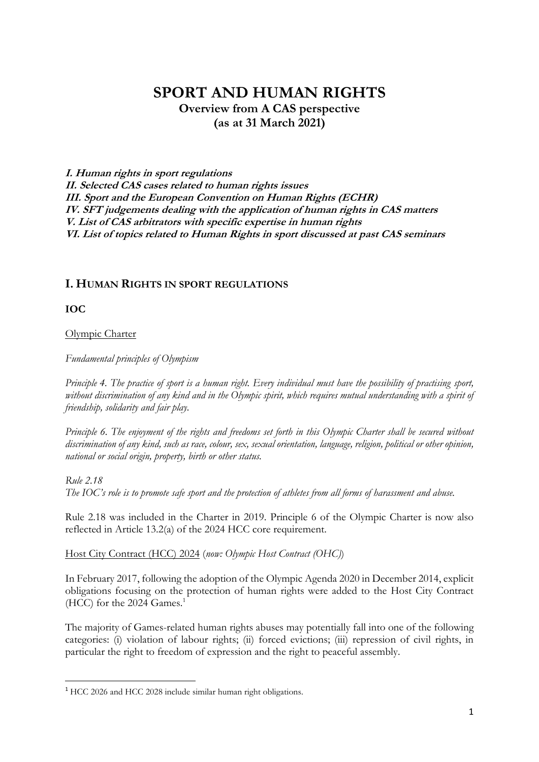# **SPORT AND HUMAN RIGHTS Overview from A CAS perspective (as at 31 March 2021)**

**I. Human rights in sport regulations II. Selected CAS cases related to human rights issues III. Sport and the European Convention on Human Rights (ECHR) IV. SFT judgements dealing with the application of human rights in CAS matters V. List of CAS arbitrators with specific expertise in human rights VI. List of topics related to Human Rights in sport discussed at past CAS seminars**

# **I. HUMAN RIGHTS IN SPORT REGULATIONS**

**IOC**

**.** 

Olympic Charter

*Fundamental principles of Olympism*

*Principle 4. The practice of sport is a human right. Every individual must have the possibility of practising sport, without discrimination of any kind and in the Olympic spirit, which requires mutual understanding with a spirit of friendship, solidarity and fair play.*

*Principle 6. The enjoyment of the rights and freedoms set forth in this Olympic Charter shall be secured without discrimination of any kind, such as race, colour, sex, sexual orientation, language, religion, political or other opinion, national or social origin, property, birth or other status.*

*Rule 2.18 The IOC's role is to promote safe sport and the protection of athletes from all forms of harassment and abuse.*

Rule 2.18 was included in the Charter in 2019. Principle 6 of the Olympic Charter is now also reflected in Article 13.2(a) of the 2024 HCC core requirement.

Host City Contract (HCC) 2024 (*now: Olympic Host Contract (OHC)*)

In February 2017, following the adoption of the Olympic Agenda 2020 in December 2014, explicit obligations focusing on the protection of human rights were added to the Host City Contract (HCC) for the 2024 Games. $<sup>1</sup>$ </sup>

The majority of Games-related human rights abuses may potentially fall into one of the following categories: (i) violation of labour rights; (ii) forced evictions; (iii) repression of civil rights, in particular the right to freedom of expression and the right to peaceful assembly.

<sup>1</sup> HCC 2026 and HCC 2028 include similar human right obligations.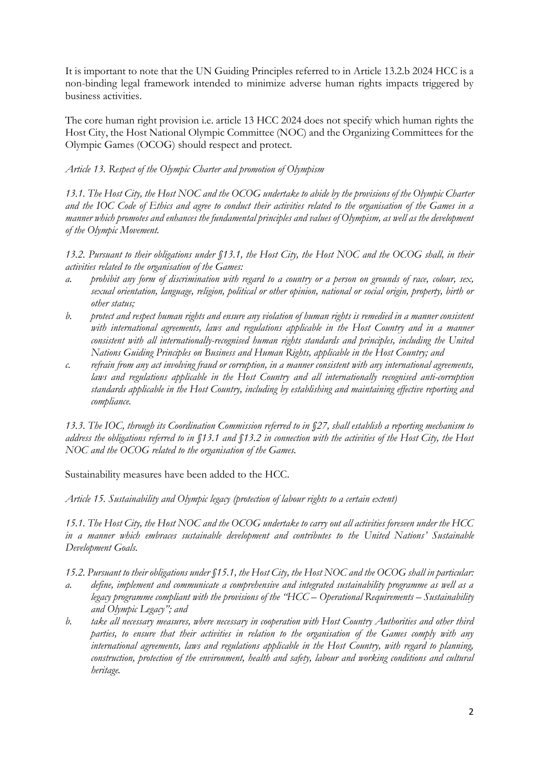It is important to note that the UN Guiding Principles referred to in Article 13.2.b 2024 HCC is a non-binding legal framework intended to minimize adverse human rights impacts triggered by business activities.

The core human right provision i.e. article 13 HCC 2024 does not specify which human rights the Host City, the Host National Olympic Committee (NOC) and the Organizing Committees for the Olympic Games (OCOG) should respect and protect.

## *Article 13. Respect of the Olympic Charter and promotion of Olympism*

*13.1. The Host City, the Host NOC and the OCOG undertake to abide by the provisions of the Olympic Charter and the IOC Code of Ethics and agree to conduct their activities related to the organisation of the Games in a manner which promotes and enhances the fundamental principles and values of Olympism, as well as the development of the Olympic Movement.* 

*13.2. Pursuant to their obligations under §13.1, the Host City, the Host NOC and the OCOG shall, in their activities related to the organisation of the Games:* 

- *a. prohibit any form of discrimination with regard to a country or a person on grounds of race, colour, sex, sexual orientation, language, religion, political or other opinion, national or social origin, property, birth or other status;*
- *b. protect and respect human rights and ensure any violation of human rights is remedied in a manner consistent*  with international agreements, laws and regulations applicable in the Host Country and in a manner *consistent with all internationally-recognised human rights standards and principles, including the United Nations Guiding Principles on Business and Human Rights, applicable in the Host Country; and*
- *c. refrain from any act involving fraud or corruption, in a manner consistent with any international agreements, laws and regulations applicable in the Host Country and all internationally recognised anti-corruption standards applicable in the Host Country, including by establishing and maintaining effective reporting and compliance.*

*13.3. The IOC, through its Coordination Commission referred to in §27, shall establish a reporting mechanism to address the obligations referred to in §13.1 and §13.2 in connection with the activities of the Host City, the Host NOC and the OCOG related to the organisation of the Games.*

Sustainability measures have been added to the HCC.

*Article 15. Sustainability and Olympic legacy (protection of labour rights to a certain extent)*

*15.1. The Host City, the Host NOC and the OCOG undertake to carry out all activities foreseen under the HCC in a manner which embraces sustainable development and contributes to the United Nations' Sustainable Development Goals.* 

*15.2. Pursuant to their obligations under §15.1, the Host City, the Host NOC and the OCOG shall in particular:* 

- *a. define, implement and communicate a comprehensive and integrated sustainability programme as well as a legacy programme compliant with the provisions of the "HCC – Operational Requirements – Sustainability and Olympic Legacy"; and*
- *b. take all necessary measures, where necessary in cooperation with Host Country Authorities and other third parties, to ensure that their activities in relation to the organisation of the Games comply with any international agreements, laws and regulations applicable in the Host Country, with regard to planning, construction, protection of the environment, health and safety, labour and working conditions and cultural heritage.*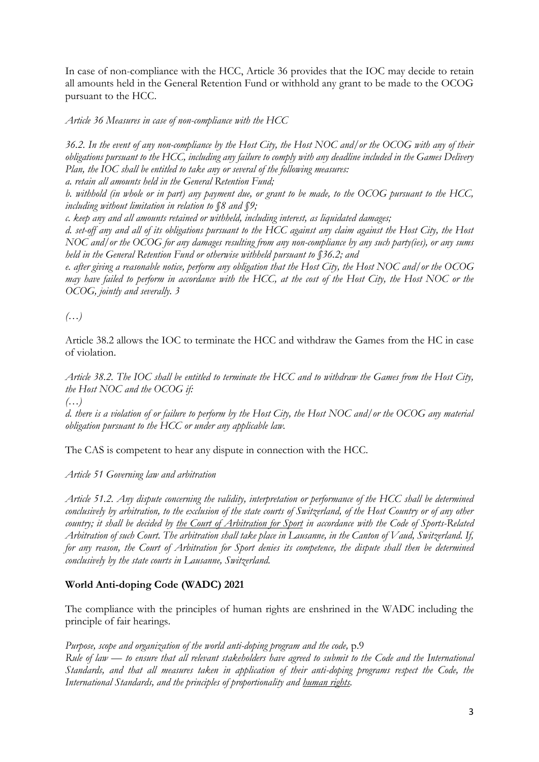In case of non-compliance with the HCC, Article 36 provides that the IOC may decide to retain all amounts held in the General Retention Fund or withhold any grant to be made to the OCOG pursuant to the HCC.

*Article 36 Measures in case of non-compliance with the HCC*

*36.2. In the event of any non-compliance by the Host City, the Host NOC and/or the OCOG with any of their obligations pursuant to the HCC, including any failure to comply with any deadline included in the Games Delivery Plan, the IOC shall be entitled to take any or several of the following measures:* 

*a. retain all amounts held in the General Retention Fund;* 

*b. withhold (in whole or in part) any payment due, or grant to be made, to the OCOG pursuant to the HCC, including without limitation in relation to §8 and §9;* 

*c. keep any and all amounts retained or withheld, including interest, as liquidated damages;* 

*d. set-off any and all of its obligations pursuant to the HCC against any claim against the Host City, the Host NOC and/or the OCOG for any damages resulting from any non-compliance by any such party(ies), or any sums held in the General Retention Fund or otherwise withheld pursuant to §36.2; and* 

*e. after giving a reasonable notice, perform any obligation that the Host City, the Host NOC and/or the OCOG may have failed to perform in accordance with the HCC, at the cost of the Host City, the Host NOC or the OCOG, jointly and severally. 3*

*(…)*

Article 38.2 allows the IOC to terminate the HCC and withdraw the Games from the HC in case of violation.

*Article 38.2. The IOC shall be entitled to terminate the HCC and to withdraw the Games from the Host City, the Host NOC and the OCOG if:* 

*(…)*

*d. there is a violation of or failure to perform by the Host City, the Host NOC and/or the OCOG any material obligation pursuant to the HCC or under any applicable law.*

The CAS is competent to hear any dispute in connection with the HCC.

*Article 51 Governing law and arbitration*

*Article 51.2. Any dispute concerning the validity, interpretation or performance of the HCC shall be determined conclusively by arbitration, to the exclusion of the state courts of Switzerland, of the Host Country or of any other country; it shall be decided by the Court of Arbitration for Sport in accordance with the Code of Sports-Related Arbitration of such Court. The arbitration shall take place in Lausanne, in the Canton of Vaud, Switzerland. If, for any reason, the Court of Arbitration for Sport denies its competence, the dispute shall then be determined conclusively by the state courts in Lausanne, Switzerland.*

# **World Anti-doping Code (WADC) 2021**

The compliance with the principles of human rights are enshrined in the WADC including the principle of fair hearings.

*Purpose, scope and organization of the world anti-doping program and the code,* p.9 *Rule of law — to ensure that all relevant stakeholders have agreed to submit to the Code and the International Standards, and that all measures taken in application of their anti-doping programs respect the Code, the International Standards, and the principles of proportionality and human rights.*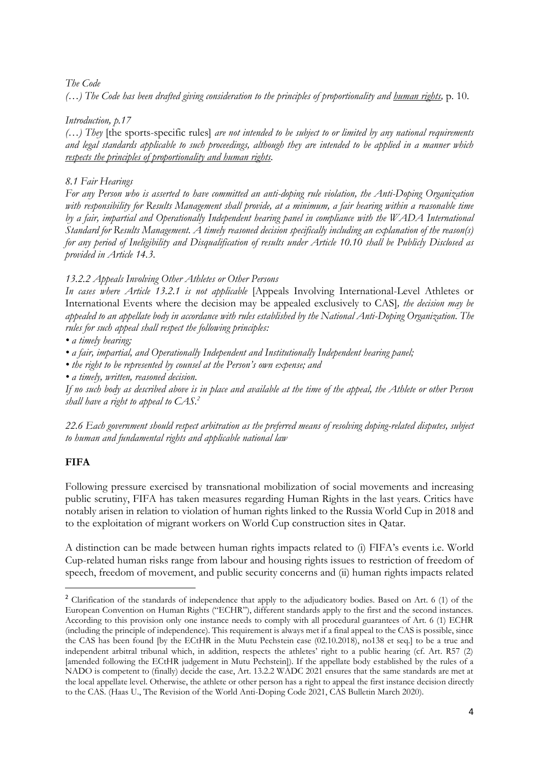# *The Code*

*(…) The Code has been drafted giving consideration to the principles of proportionality and human rights,* p. 10.

## *Introduction, p.17*

*(…) They* [the sports-specific rules] *are not intended to be subject to or limited by any national requirements and legal standards applicable to such proceedings, although they are intended to be applied in a manner which respects the principles of proportionality and human rights.*

# *8.1 Fair Hearings*

*For any Person who is asserted to have committed an anti-doping rule violation, the Anti-Doping Organization*  with responsibility for Results Management shall provide, at a minimum, a fair hearing within a reasonable time *by a fair, impartial and Operationally Independent hearing panel in compliance with the WADA International Standard for Results Management. A timely reasoned decision specifically including an explanation of the reason(s) for any period of Ineligibility and Disqualification of results under Article 10.10 shall be Publicly Disclosed as provided in Article 14.3.* 

# *13.2.2 Appeals Involving Other Athletes or Other Persons*

*In cases where Article 13.2.1 is not applicable* [Appeals Involving International-Level Athletes or International Events where the decision may be appealed exclusively to CAS]*, the decision may be appealed to an appellate body in accordance with rules established by the National Anti-Doping Organization. The rules for such appeal shall respect the following principles:* 

### *• a timely hearing;*

*• a fair, impartial, and Operationally Independent and Institutionally Independent hearing panel;* 

*• the right to be represented by counsel at the Person's own expense; and* 

*• a timely, written, reasoned decision.* 

*If no such body as described above is in place and available at the time of the appeal, the Athlete or other Person shall have a right to appeal to CAS.<sup>2</sup>*

*22.6 Each government should respect arbitration as the preferred means of resolving doping-related disputes, subject to human and fundamental rights and applicable national law*

# **FIFA**

**.** 

Following pressure exercised by transnational mobilization of social movements and increasing public scrutiny, FIFA has taken measures regarding Human Rights in the last years. Critics have notably arisen in relation to violation of human rights linked to the Russia World Cup in 2018 and to the exploitation of migrant workers on World Cup construction sites in Qatar.

A distinction can be made between human rights impacts related to (i) FIFA's events i.e. World Cup-related human risks range from labour and housing rights issues to restriction of freedom of speech, freedom of movement, and public security concerns and (ii) human rights impacts related

<sup>&</sup>lt;sup>2</sup> Clarification of the standards of independence that apply to the adjudicatory bodies. Based on Art. 6 (1) of the European Convention on Human Rights ("ECHR"), different standards apply to the first and the second instances. According to this provision only one instance needs to comply with all procedural guarantees of Art. 6 (1) ECHR (including the principle of independence). This requirement is always met if a final appeal to the CAS is possible, since the CAS has been found [by the ECtHR in the Mutu Pechstein case (02.10.2018), no138 et seq.] to be a true and independent arbitral tribunal which, in addition, respects the athletes' right to a public hearing (cf. Art. R57 (2) [amended following the ECtHR judgement in Mutu Pechstein]). If the appellate body established by the rules of a NADO is competent to (finally) decide the case, Art. 13.2.2 WADC 2021 ensures that the same standards are met at the local appellate level. Otherwise, the athlete or other person has a right to appeal the first instance decision directly to the CAS. (Haas U., The Revision of the World Anti-Doping Code 2021, CAS Bulletin March 2020).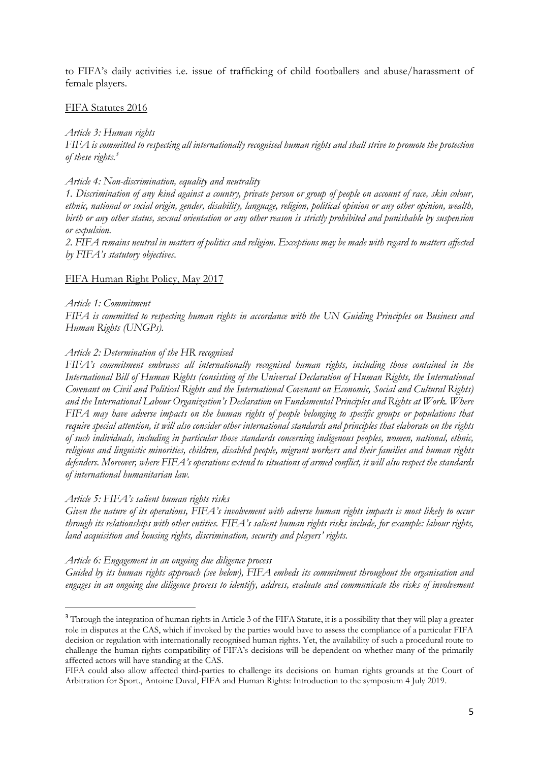to FIFA's daily activities i.e. issue of trafficking of child footballers and abuse/harassment of female players.

#### FIFA Statutes 2016

*Article 3: Human rights FIFA is committed to respecting all internationally recognised human rights and shall strive to promote the protection of these rights.<sup>3</sup>*

#### *Article 4: Non-discrimination, equality and neutrality*

*1. Discrimination of any kind against a country, private person or group of people on account of race, skin colour, ethnic, national or social origin, gender, disability, language, religion, political opinion or any other opinion, wealth, birth or any other status, sexual orientation or any other reason is strictly prohibited and punishable by suspension or expulsion.*

*2. FIFA remains neutral in matters of politics and religion. Exceptions may be made with regard to matters affected by FIFA's statutory objectives.*

#### FIFA Human Right Policy, May 2017

*Article 1: Commitment*

1

*FIFA is committed to respecting human rights in accordance with the UN Guiding Principles on Business and Human Rights (UNGPs).*

#### *Article 2: Determination of the HR recognised*

*FIFA's commitment embraces all internationally recognised human rights, including those contained in the International Bill of Human Rights (consisting of the Universal Declaration of Human Rights, the International Covenant on Civil and Political Rights and the International Covenant on Economic, Social and Cultural Rights) and the International Labour Organization's Declaration on Fundamental Principles and Rights at Work. Where FIFA may have adverse impacts on the human rights of people belonging to specific groups or populations that require special attention, it will also consider other international standards and principles that elaborate on the rights of such individuals, including in particular those standards concerning indigenous peoples, women, national, ethnic, religious and linguistic minorities, children, disabled people, migrant workers and their families and human rights defenders. Moreover, where FIFA's operations extend to situations of armed conflict, it will also respect the standards of international humanitarian law.*

#### *Article 5: FIFA's salient human rights risks*

*Given the nature of its operations, FIFA's involvement with adverse human rights impacts is most likely to occur through its relationships with other entities. FIFA's salient human rights risks include, for example: labour rights, land acquisition and housing rights, discrimination, security and players' rights.*

*Article 6: Engagement in an ongoing due diligence process*

*Guided by its human rights approach (see below), FIFA embeds its commitment throughout the organisation and engages in an ongoing due diligence process to identify, address, evaluate and communicate the risks of involvement* 

<sup>&</sup>lt;sup>3</sup> Through the integration of human rights in Article 3 of the FIFA Statute, it is a possibility that they will play a greater role in disputes at the CAS, which if invoked by the parties would have to assess the compliance of a particular FIFA decision or regulation with internationally recognised human rights. Yet, the availability of such a procedural route to challenge the human rights compatibility of FIFA's decisions will be dependent on whether many of the primarily affected actors will have standing at the CAS.

FIFA could also allow affected third-parties to challenge its decisions on human rights grounds at the Court of Arbitration for Sport., Antoine Duval, FIFA and Human Rights: Introduction to the symposium 4 July 2019.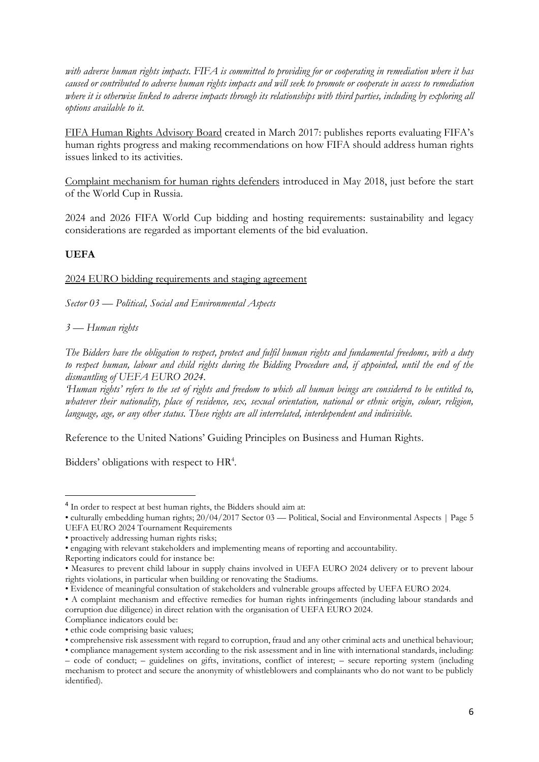*with adverse human rights impacts. FIFA is committed to providing for or cooperating in remediation where it has caused or contributed to adverse human rights impacts and will seek to promote or cooperate in access to remediation where it is otherwise linked to adverse impacts through its relationships with third parties, including by exploring all options available to it.*

FIFA Human Rights Advisory Board created in March 2017: publishes reports evaluating FIFA's human rights progress and making recommendations on how FIFA should address human rights issues linked to its activities.

Complaint [mechanism](https://www.fifa.com/governance/news/y=2018/m=5/news=fifa-launches-complaints-mechanism-for-human-rights-defenders-and-journalists.html) for human rights defenders introduced in May 2018, just before the start of the World Cup in Russia.

2024 and 2026 FIFA World Cup bidding and hosting requirements: sustainability and legacy considerations are regarded as important elements of the bid evaluation.

# **UEFA**

**.** 

2024 EURO bidding requirements and staging agreement

*Sector 03 — Political, Social and Environmental Aspects*

*3 — Human rights* 

*The Bidders have the obligation to respect, protect and fulfil human rights and fundamental freedoms, with a duty to respect human, labour and child rights during the Bidding Procedure and, if appointed, until the end of the dismantling of UEFA EURO 2024.* 

*'Human rights' refers to the set of rights and freedom to which all human beings are considered to be entitled to, whatever their nationality, place of residence, sex, sexual orientation, national or ethnic origin, colour, religion, language, age, or any other status. These rights are all interrelated, interdependent and indivisible.*

Reference to the United Nations' Guiding Principles on Business and Human Rights.

Bidders' obligations with respect to HR<sup>4</sup>.

<sup>&</sup>lt;sup>4</sup> In order to respect at best human rights, the Bidders should aim at:

<sup>•</sup> culturally embedding human rights; 20/04/2017 Sector 03 — Political, Social and Environmental Aspects | Page 5 UEFA EURO 2024 Tournament Requirements

<sup>•</sup> proactively addressing human rights risks;

<sup>•</sup> engaging with relevant stakeholders and implementing means of reporting and accountability.

Reporting indicators could for instance be:

<sup>•</sup> Measures to prevent child labour in supply chains involved in UEFA EURO 2024 delivery or to prevent labour rights violations, in particular when building or renovating the Stadiums.

<sup>•</sup> Evidence of meaningful consultation of stakeholders and vulnerable groups affected by UEFA EURO 2024.

<sup>•</sup> A complaint mechanism and effective remedies for human rights infringements (including labour standards and corruption due diligence) in direct relation with the organisation of UEFA EURO 2024.

Compliance indicators could be:

<sup>•</sup> ethic code comprising basic values;

<sup>•</sup> comprehensive risk assessment with regard to corruption, fraud and any other criminal acts and unethical behaviour;

<sup>•</sup> compliance management system according to the risk assessment and in line with international standards, including: – code of conduct; – guidelines on gifts, invitations, conflict of interest; – secure reporting system (including mechanism to protect and secure the anonymity of whistleblowers and complainants who do not want to be publicly identified).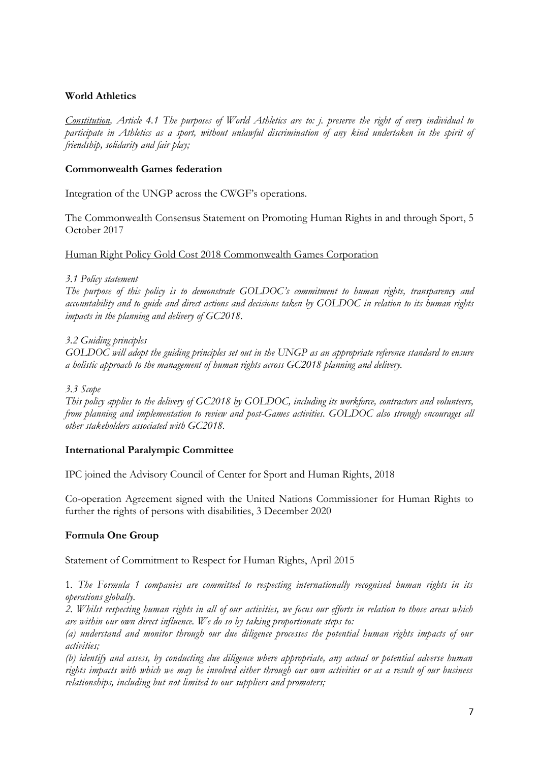# **World Athletics**

*Constitution, Article 4.1 The purposes of World Athletics are to: j. preserve the right of every individual to participate in Athletics as a sport, without unlawful discrimination of any kind undertaken in the spirit of friendship, solidarity and fair play;* 

## **Commonwealth Games federation**

Integration of the UNGP across the CWGF's operations.

The Commonwealth Consensus Statement on Promoting Human Rights in and through Sport, 5 October 2017

Human Right Policy Gold Cost 2018 Commonwealth Games Corporation

#### *3.1 Policy statement*

*The purpose of this policy is to demonstrate GOLDOC's commitment to human rights, transparency and accountability and to guide and direct actions and decisions taken by GOLDOC in relation to its human rights impacts in the planning and delivery of GC2018.* 

### *3.2 Guiding principles*

*GOLDOC will adopt the guiding principles set out in the UNGP as an appropriate reference standard to ensure a holistic approach to the management of human rights across GC2018 planning and delivery.* 

*3.3 Scope* 

*This policy applies to the delivery of GC2018 by GOLDOC, including its workforce, contractors and volunteers, from planning and implementation to review and post-Games activities. GOLDOC also strongly encourages all other stakeholders associated with GC2018.*

### **International Paralympic Committee**

IPC joined the Advisory Council of Center for Sport and Human Rights, 2018

Co-operation Agreement signed with the United Nations Commissioner for Human Rights to further the rights of persons with disabilities, 3 December 2020

# **Formula One Group**

Statement of Commitment to Respect for Human Rights, April 2015

1*. The Formula 1 companies are committed to respecting internationally recognised human rights in its operations globally.*

*2. Whilst respecting human rights in all of our activities, we focus our efforts in relation to those areas which are within our own direct influence. We do so by taking proportionate steps to:*

*(a) understand and monitor through our due diligence processes the potential human rights impacts of our activities;*

*(b) identify and assess, by conducting due diligence where appropriate, any actual or potential adverse human rights impacts with which we may be involved either through our own activities or as a result of our business relationships, including but not limited to our suppliers and promoters;*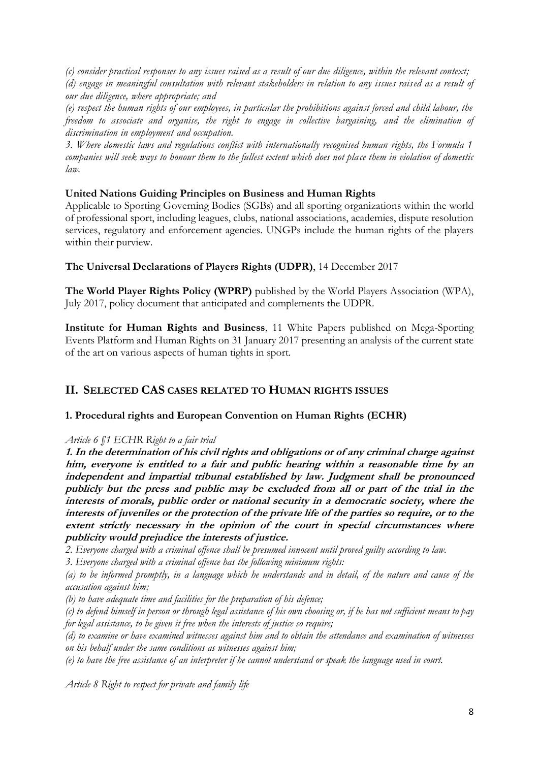*(c) consider practical responses to any issues raised as a result of our due diligence, within the relevant context; (d) engage in meaningful consultation with relevant stakeholders in relation to any issues raised as a result of our due diligence, where appropriate; and*

*(e) respect the human rights of our employees, in particular the prohibitions against forced and child labour, the freedom to associate and organise, the right to engage in collective bargaining, and the elimination of discrimination in employment and occupation.*

*3. Where domestic laws and regulations conflict with internationally recognised human rights, the Formula 1 companies will seek ways to honour them to the fullest extent which does not place them in violation of domestic law.*

# **United Nations Guiding Principles on Business and Human Rights**

Applicable to Sporting Governing Bodies (SGBs) and all sporting organizations within the world of professional sport, including leagues, clubs, national associations, academies, dispute resolution services, regulatory and enforcement agencies. UNGPs include the human rights of the players within their purview.

# **The Universal Declarations of Players Rights (UDPR)**, 14 December 2017

**The World Player Rights Policy (WPRP)** published by the World Players Association (WPA), July 2017, policy document that anticipated and complements the UDPR.

**Institute for Human Rights and Business**, 11 White Papers published on Mega-Sporting Events Platform and Human Rights on 31 January 2017 presenting an analysis of the current state of the art on various aspects of human tights in sport.

# **II. SELECTED CAS CASES RELATED TO HUMAN RIGHTS ISSUES**

# **1. Procedural rights and European Convention on Human Rights (ECHR)**

# *Article 6 §1 ECHR Right to a fair trial*

**1. In the determination of his civil rights and obligations or of any criminal charge against him, everyone is entitled to a fair and public hearing within a reasonable time by an independent and impartial tribunal established by law. Judgment shall be pronounced publicly but the press and public may be excluded from all or part of the trial in the interests of morals, public order or national security in a democratic society, where the interests of juveniles or the protection of the private life of the parties so require, or to the extent strictly necessary in the opinion of the court in special circumstances where publicity would prejudice the interests of justice.** 

*2. Everyone charged with a criminal offence shall be presumed innocent until proved guilty according to law.* 

*3. Everyone charged with a criminal offence has the following minimum rights:* 

*(a) to be informed promptly, in a language which he understands and in detail, of the nature and cause of the accusation against him;* 

*(b) to have adequate time and facilities for the preparation of his defence;* 

*(c) to defend himself in person or through legal assistance of his own choosing or, if he has not sufficient means to pay for legal assistance, to be given it free when the interests of justice so require;* 

*(d) to examine or have examined witnesses against him and to obtain the attendance and examination of witnesses on his behalf under the same conditions as witnesses against him;* 

*(e) to have the free assistance of an interpreter if he cannot understand or speak the language used in court.*

*Article 8 Right to respect for private and family life*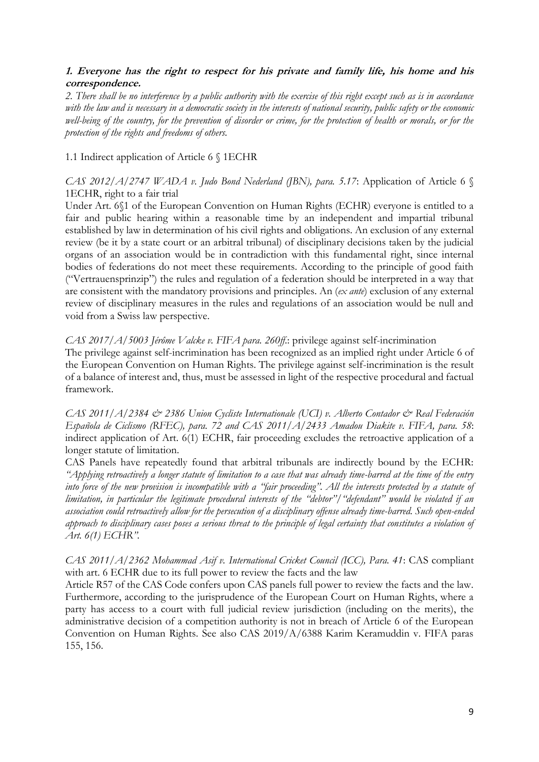# **1. Everyone has the right to respect for his private and family life, his home and his correspondence.**

*2. There shall be no interference by a public authority with the exercise of this right except such as is in accordance with the law and is necessary in a democratic society in the interests of national security, public safety or the economic well-being of the country, for the prevention of disorder or crime, for the protection of health or morals, or for the protection of the rights and freedoms of others.*

### 1.1 Indirect application of Article 6 § 1ECHR

## *CAS 2012/A/2747 WADA v. Judo Bond Nederland (JBN), para. 5.17*: Application of Article 6 § 1ECHR, right to a fair trial

Under Art. 6§1 of the European Convention on Human Rights (ECHR) everyone is entitled to a fair and public hearing within a reasonable time by an independent and impartial tribunal established by law in determination of his civil rights and obligations. An exclusion of any external review (be it by a state court or an arbitral tribunal) of disciplinary decisions taken by the judicial organs of an association would be in contradiction with this fundamental right, since internal bodies of federations do not meet these requirements. According to the principle of good faith ("Vertrauensprinzip") the rules and regulation of a federation should be interpreted in a way that are consistent with the mandatory provisions and principles. An (*ex ante*) exclusion of any external review of disciplinary measures in the rules and regulations of an association would be null and void from a Swiss law perspective.

### *CAS 2017/A/5003 Jérôme Valcke v. FIFA para. 260ff*.: privilege against self-incrimination

The privilege against self-incrimination has been recognized as an implied right under Article 6 of the European Convention on Human Rights. The privilege against self-incrimination is the result of a balance of interest and, thus, must be assessed in light of the respective procedural and factual framework.

*CAS 2011/A/2384 & 2386 Union Cycliste Internationale (UCI) v. Alberto Contador & Real Federación Española de Ciclismo (RFEC), para. 72 and CAS 2011/A/2433 Amadou Diakite v. FIFA, para. 58*: indirect application of Art. 6(1) ECHR, fair proceeding excludes the retroactive application of a longer statute of limitation.

CAS Panels have repeatedly found that arbitral tribunals are indirectly bound by the ECHR: *"Applying retroactively a longer statute of limitation to a case that was already time-barred at the time of the entry into force of the new provision is incompatible with a "fair proceeding". All the interests protected by a statute of limitation, in particular the legitimate procedural interests of the "debtor"/"defendant" would be violated if an association could retroactively allow for the persecution of a disciplinary offense already time-barred. Such open-ended approach to disciplinary cases poses a serious threat to the principle of legal certainty that constitutes a violation of Art. 6(1) ECHR".*

*CAS 2011/A/2362 Mohammad Asif v. International Cricket Council (ICC), Para. 41*: CAS compliant with art. 6 ECHR due to its full power to review the facts and the law

Article R57 of the CAS Code confers upon CAS panels full power to review the facts and the law. Furthermore, according to the jurisprudence of the European Court on Human Rights, where a party has access to a court with full judicial review jurisdiction (including on the merits), the administrative decision of a competition authority is not in breach of Article 6 of the European Convention on Human Rights. See also CAS 2019/A/6388 Karim Keramuddin v. FIFA paras 155, 156.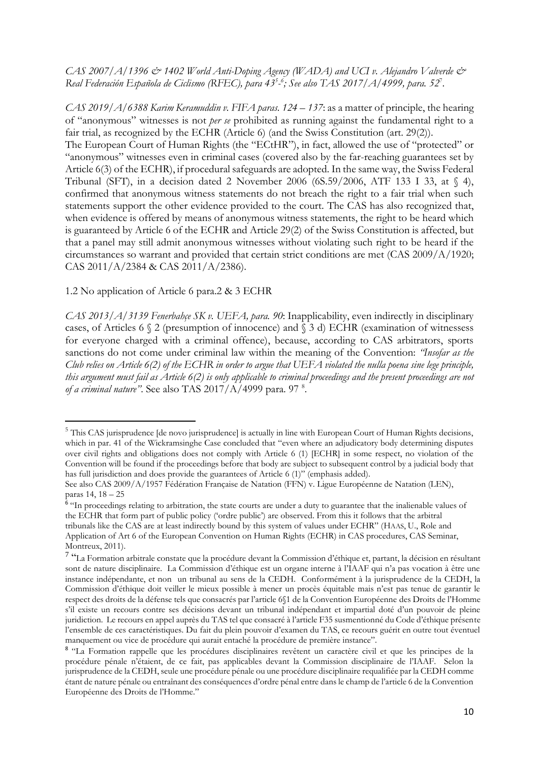## *CAS 2007/A/1396 & 1402 World Anti-Doping Agency (WADA) and UCI v. Alejandro Valverde & Real Federación Española de Ciclismo (RFEC), para 43<sup>5</sup> - 6 ; See also TAS 2017/A/4999, para. 52*<sup>7</sup> .

*CAS 2019/A/6388 Karim Keramuddin v. FIFA paras. 124 – 137:* as a matter of principle, the hearing of "anonymous" witnesses is not *per se* prohibited as running against the fundamental right to a fair trial, as recognized by the ECHR (Article 6) (and the Swiss Constitution (art. 29(2)).

The European Court of Human Rights (the "ECtHR"), in fact, allowed the use of "protected" or "anonymous" witnesses even in criminal cases (covered also by the far-reaching guarantees set by Article 6(3) of the ECHR), if procedural safeguards are adopted. In the same way, the Swiss Federal Tribunal (SFT), in a decision dated 2 November 2006 (6S.59/2006, ATF 133 I 33, at  $\langle 4 \rangle$ , confirmed that anonymous witness statements do not breach the right to a fair trial when such statements support the other evidence provided to the court. The CAS has also recognized that, when evidence is offered by means of anonymous witness statements, the right to be heard which is guaranteed by Article 6 of the ECHR and Article 29(2) of the Swiss Constitution is affected, but that a panel may still admit anonymous witnesses without violating such right to be heard if the circumstances so warrant and provided that certain strict conditions are met (CAS 2009/A/1920; CAS 2011/A/2384 & CAS 2011/A/2386).

#### 1.2 No application of Article 6 para.2 & 3 ECHR

1

*CAS 2013/A/3139 Fenerbahçe SK v. UEFA, para. 90*: Inapplicability, even indirectly in disciplinary cases, of Articles 6 § 2 (presumption of innocence) and § 3 d) ECHR (examination of witnessess for everyone charged with a criminal offence), because, according to CAS arbitrators, sports sanctions do not come under criminal law within the meaning of the Convention: *"Insofar as the Club relies on Article 6(2) of the ECHR in order to argue that UEFA violated the nulla poena sine lege principle, this argument must fail as Article 6(2) is only applicable to criminal proceedings and the present proceedings are not of a criminal nature"*. See also TAS 2017/A/4999 para. 97 <sup>8</sup> .

<sup>5</sup> This CAS jurisprudence [de novo jurisprudence] is actually in line with European Court of Human Rights decisions, which in par. 41 of the Wickramsinghe Case concluded that "even where an adjudicatory body determining disputes over civil rights and obligations does not comply with Article 6 (1) [ECHR] in some respect, no violation of the Convention will be found if the proceedings before that body are subject to subsequent control by a judicial body that has full jurisdiction and does provide the guarantees of Article 6 (1)" (emphasis added).

See also CAS 2009/A/1957 Fédération Française de Natation (FFN) v. Ligue Européenne de Natation (LEN), paras 14, 18 – 25

<sup>&</sup>lt;sup>6</sup> "In proceedings relating to arbitration, the state courts are under a duty to guarantee that the inalienable values of the ECHR that form part of public policy ('ordre public') are observed. From this it follows that the arbitral tribunals like the CAS are at least indirectly bound by this system of values under ECHR" (HAAS, U., Role and Application of Art 6 of the European Convention on Human Rights (ECHR) in CAS procedures, CAS Seminar, Montreux, 2011).

<sup>&</sup>lt;sup>7</sup> "La Formation arbitrale constate que la procédure devant la Commission d'éthique et, partant, la décision en résultant sont de nature disciplinaire. La Commission d'éthique est un organe interne à l'IAAF qui n'a pas vocation à être une instance indépendante, et non un tribunal au sens de la CEDH. Conformément à la jurisprudence de la CEDH, la Commission d'éthique doit veiller le mieux possible à mener un procès équitable mais n'est pas tenue de garantir le respect des droits de la défense tels que consacrés par l'article 6§1 de la Convention Européenne des Droits de l'Homme s'il existe un recours contre ses décisions devant un tribunal indépendant et impartial doté d'un pouvoir de pleine juridiction. Le recours en appel auprès du TAS tel que consacré à l'article F35 susmentionné du Code d'éthique présente l'ensemble de ces caractéristiques. Du fait du plein pouvoir d'examen du TAS, ce recours guérit en outre tout éventuel manquement ou vice de procédure qui aurait entaché la procédure de première instance".

<sup>&</sup>lt;sup>8</sup> "La Formation rappelle que les procédures disciplinaires revêtent un caractère civil et que les principes de la procédure pénale n'étaient, de ce fait, pas applicables devant la Commission disciplinaire de l'IAAF. Selon la jurisprudence de la CEDH, seule une procédure pénale ou une procédure disciplinaire requalifiée par la CEDH comme étant de nature pénale ou entraînant des conséquences d'ordre pénal entre dans le champ de l'article 6 de la Convention Européenne des Droits de l'Homme."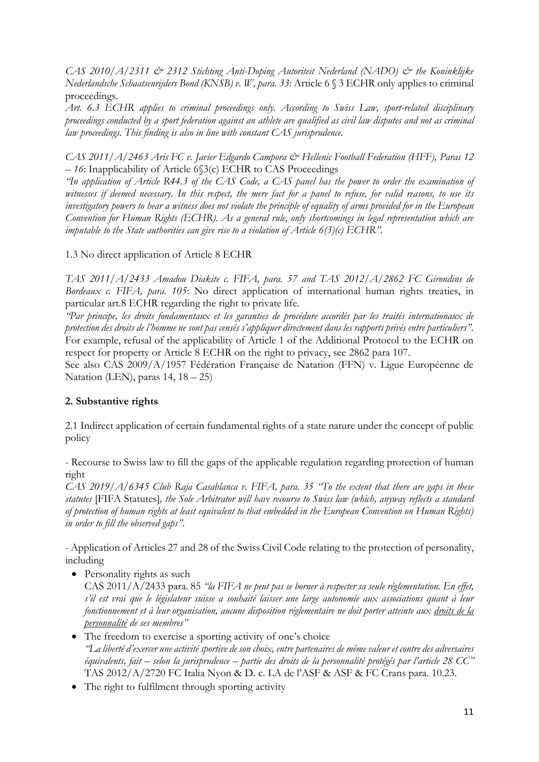*CAS 2010/A/2311 & 2312 Stichting Anti-Doping Autoriteit Nederland (NADO) & the Koninklijke Nederlandsche Schaatsenrijders Bond (KNSB) v. W, para. 33*: Article 6 § 3 ECHR only applies to criminal proceedings.

*Art. 6.3 ECHR applies to criminal proceedings only. According to Swiss Law, sport-related disciplinary proceedings conducted by a sport federation against an athlete are qualified as civil law disputes and not as criminal law proceedings. This finding is also in line with constant CAS jurisprudence.* 

*CAS 2011/A/2463 Aris FC v. Javier Edgardo Campora & Hellenic Football Federation (HFF), Paras 12 – 16*: Inapplicability of Article 6§3(c) ECHR to CAS Proceedings

*"In application of Article R44.3 of the CAS Code, a CAS panel has the power to order the examination of witnesses if deemed necessary. In this respect, the mere fact for a panel to refuse, for valid reasons, to use its investigatory powers to hear a witness does not violate the principle of equality of arms provided for in the European Convention for Human Rights (ECHR). As a general rule, only shortcomings in legal representation which are imputable to the State authorities can give rise to a violation of Article 6(3)(c) ECHR".*

1.3 No direct application of Article 8 ECHR

*TAS 2011/A/2433 Amadou Diakite c. FIFA, para. 57 and TAS 2012/A/2862 FC Girondins de Bordeaux c. FIFA, para. 105*: No direct application of international human rights treaties, in particular art.8 ECHR regarding the right to private life.

*"Par principe, les droits fondamentaux et les garanties de procédure accordés par les traités internationaux de protection des droits de l'homme ne sont pas censés s'appliquer directement dans les rapports privés entre particuliers"*. For example, refusal of the applicability of Article 1 of the Additional Protocol to the ECHR on respect for property or Article 8 ECHR on the right to privacy, see 2862 para 107.

See also CAS 2009/A/1957 Fédération Française de Natation (FFN) v. Ligue Européenne de Natation (LEN), paras 14, 18 – 25)

# **2. Substantive rights**

2.1 Indirect application of certain fundamental rights of a state nature under the concept of public policy

- Recourse to Swiss law to fill the gaps of the applicable regulation regarding protection of human right

*CAS 2019/A/6345 Club Raja Casablanca v. FIFA, para. 35 "To the extent that there are gaps in these statutes* [FIFA Statutes]*, the Sole Arbitrator will have recourse to Swiss law (which, anyway reflects a standard of protection of human rights at least equivalent to that embedded in the European Convention on Human Rights) in order to fill the observed gaps"*.

- Application of Articles 27 and 28 of the Swiss Civil Code relating to the protection of personality, including

• Personality rights as such

CAS 2011/A/2433 para. 85 *"la FIFA ne peut pas se borner à respecter sa seule réglementation. En effet, s'il est vrai que le législateur suisse a souhaité laisser une large autonomie aux associations quant à leur fonctionnement et à leur organisation, aucune disposition réglementaire ne doit porter atteinte aux droits de la personnalité de ses membres"*

- The freedom to exercise a sporting activity of one's choice *"La liberté d'exercer une activité sportive de son choix, entre partenaires de même valeur et contre des adversaires équivalents, fait – selon la jurisprudence – partie des droits de la personnalité protégés par l'article 28 CC"* TAS 2012/A/2720 FC Italia Nyon & D. c. LA de l'ASF & ASF & FC Crans para. 10.23.
- The right to fulfilment through sporting activity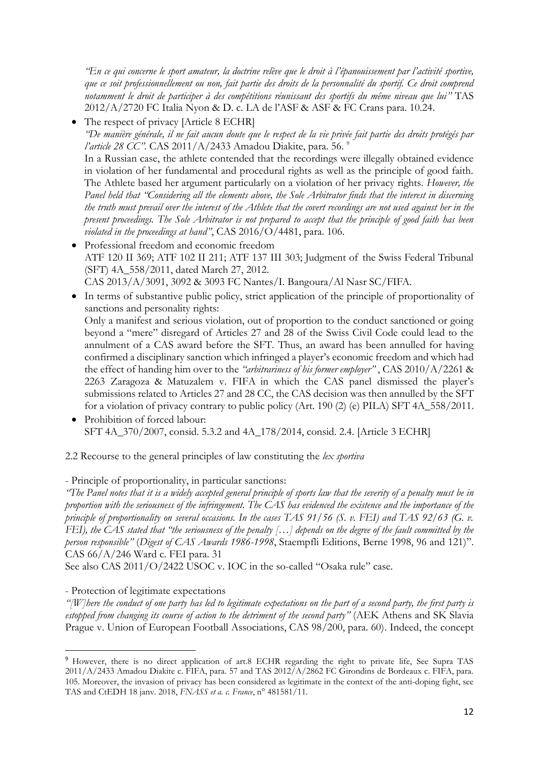*"En ce qui concerne le sport amateur, la doctrine relève que le droit à l'épanouissement par l'activité sportive, que ce soit professionnellement ou non, fait partie des droits de la personnalité du sportif. Ce droit comprend notamment le droit de participer à des compétitions réunissant des sportifs du même niveau que lui"* TAS 2012/A/2720 FC Italia Nyon & D. c. LA de l'ASF & ASF & FC Crans para. 10.24.

- The respect of privacy [Article 8 ECHR] *"De manière générale, il ne fait aucun doute que le respect de la vie privée fait partie des droits protégés par l'article 28 CC".* CAS 2011/A/2433 Amadou Diakite, para. 56. <sup>9</sup> In a Russian case, the athlete contended that the recordings were illegally obtained evidence in violation of her fundamental and procedural rights as well as the principle of good faith. The Athlete based her argument particularly on a violation of her privacy rights. *However, the Panel held that "Considering all the elements above, the Sole Arbitrator finds that the interest in discerning the truth must prevail over the interest of the Athlete that the covert recordings are not used against her in the present proceedings. The Sole Arbitrator is not prepared to accept that the principle of good faith has been violated in the proceedings at hand"*, CAS 2016/O/4481, para. 106. • Professional freedom and economic freedom
- ATF 120 II 369; ATF 102 II 211; ATF 137 III 303; Judgment of the Swiss Federal Tribunal (SFT) 4A\_558/2011, dated March 27, 2012. CAS 2013/A/3091, 3092 & 3093 FC Nantes/I. Bangoura/Al Nasr SC/FIFA.
- In terms of substantive public policy, strict application of the principle of proportionality of sanctions and personality rights: Only a manifest and serious violation, out of proportion to the conduct sanctioned or going beyond a "mere" disregard of Articles 27 and 28 of the Swiss Civil Code could lead to the annulment of a CAS award before the SFT. Thus, an award has been annulled for having confirmed a disciplinary sanction which infringed a player's economic freedom and which had the effect of handing him over to the *"arbitrariness of his former employer"* , CAS 2010/A/2261 & 2263 Zaragoza & Matuzalem v. FIFA in which the CAS panel dismissed the player's submissions related to Articles 27 and 28 CC, the CAS decision was then annulled by the SFT for a violation of privacy contrary to public policy (Art. 190 (2) (e) PILA) SFT 4A\_558/2011.
- Prohibition of forced labour: SFT 4A\_370/2007, consid. 5.3.2 and 4A\_178/2014, consid. 2.4. [Article 3 ECHR]
- 2.2 Recourse to the general principles of law constituting the *lex sportiva*

- Principle of proportionality, in particular sanctions:

*"The Panel notes that it is a widely accepted general principle of sports law that the severity of a penalty must be in proportion with the seriousness of the infringement. The CAS has evidenced the existence and the importance of the principle of proportionality on several occasions. In the cases TAS 91/56 (S. v. FEI) and TAS 92/63 (G. v. FEI), the CAS stated that "the seriousness of the penalty […] depends on the degree of the fault committed by the person responsible"* (*Digest of CAS Awards 1986-1998*, Staempfli Editions, Berne 1998, 96 and 121)". CAS 66/A/246 Ward c. FEI para. 31

See also CAS 2011/O/2422 USOC v. IOC in the so-called "Osaka rule" case.

- Protection of legitimate expectations

**.** 

*"[W]here the conduct of one party has led to legitimate expectations on the part of a second party, the first party is estopped from changing its course of action to the detriment of the second party"* (AEK Athens and SK Slavia Prague v. Union of European Football Associations, CAS 98/200, para. 60). Indeed, the concept

<sup>&</sup>lt;sup>9</sup> However, there is no direct application of art.8 ECHR regarding the right to private life, See Supra TAS 2011/A/2433 Amadou Diakite c. FIFA, para. 57 and TAS 2012/A/2862 FC Girondins de Bordeaux c. FIFA, para. 105. Moreover, the invasion of privacy has been considered as legitimate in the context of the anti-doping fight, see TAS and CtEDH 18 janv. 2018, *FNASS et a. c. France*, n° 481581/11.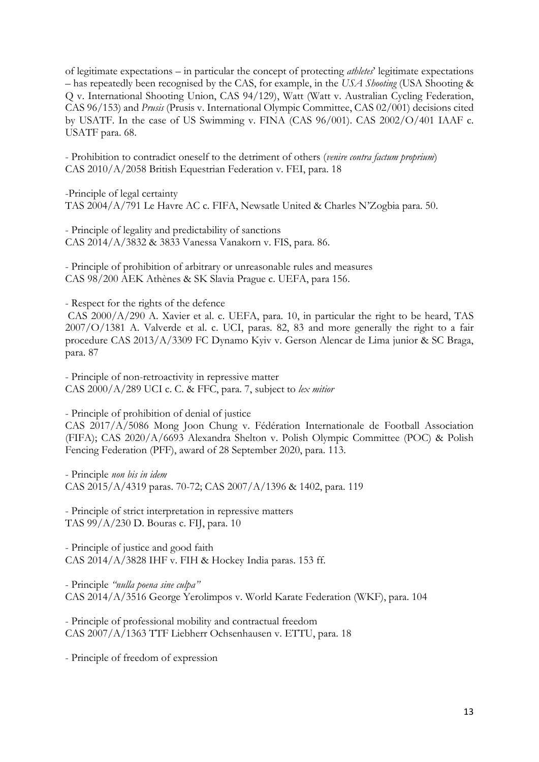of legitimate expectations – in particular the concept of protecting *athletes*' legitimate expectations – has repeatedly been recognised by the CAS, for example, in the *USA Shooting* (USA Shooting & Q v. International Shooting Union, CAS 94/129), Watt (Watt v. Australian Cycling Federation, CAS 96/153) and *Prusis* (Prusis v. International Olympic Committee, CAS 02/001) decisions cited by USATF. In the case of US Swimming v. FINA (CAS 96/001). CAS 2002/O/401 IAAF c. USATF para. 68.

- Prohibition to contradict oneself to the detriment of others (*venire contra factum proprium*) CAS 2010/A/2058 British Equestrian Federation v. FEI, para. 18

-Principle of legal certainty TAS 2004/A/791 Le Havre AC c. FIFA, Newsatle United & Charles N'Zogbia para. 50.

- Principle of legality and predictability of sanctions CAS 2014/A/3832 & 3833 Vanessa Vanakorn v. FIS, para. 86.

- Principle of prohibition of arbitrary or unreasonable rules and measures CAS 98/200 AEK Athènes & SK Slavia Prague c. UEFA, para 156.

- Respect for the rights of the defence

CAS 2000/A/290 A. Xavier et al. c. UEFA, para. 10, in particular the right to be heard, TAS 2007/O/1381 A. Valverde et al. c. UCI, paras. 82, 83 and more generally the right to a fair procedure CAS 2013/A/3309 FC Dynamo Kyiv v. Gerson Alencar de Lima junior & SC Braga, para. 87

- Principle of non-retroactivity in repressive matter CAS 2000/A/289 UCI c. C. & FFC, para. 7, subject to *lex mitior*

- Principle of prohibition of denial of justice

CAS 2017/A/5086 Mong Joon Chung v. Fédération Internationale de Football Association (FIFA); CAS 2020/A/6693 Alexandra Shelton v. Polish Olympic Committee (POC) & Polish Fencing Federation (PFF), award of 28 September 2020, para. 113.

- Principle *non bis in idem* CAS 2015/A/4319 paras. 70-72; CAS 2007/A/1396 & 1402, para. 119

- Principle of strict interpretation in repressive matters TAS 99/A/230 D. Bouras c. FIJ, para. 10

- Principle of justice and good faith CAS  $2014/A/3828$  IHF v. FIH & Hockey India paras. 153 ff.

- Principle *"nulla poena sine culpa"* CAS 2014/A/3516 George Yerolimpos v. World Karate Federation (WKF), para. 104

- Principle of professional mobility and contractual freedom CAS 2007/A/1363 TTF Liebherr Ochsenhausen v. ETTU, para. 18

- Principle of freedom of expression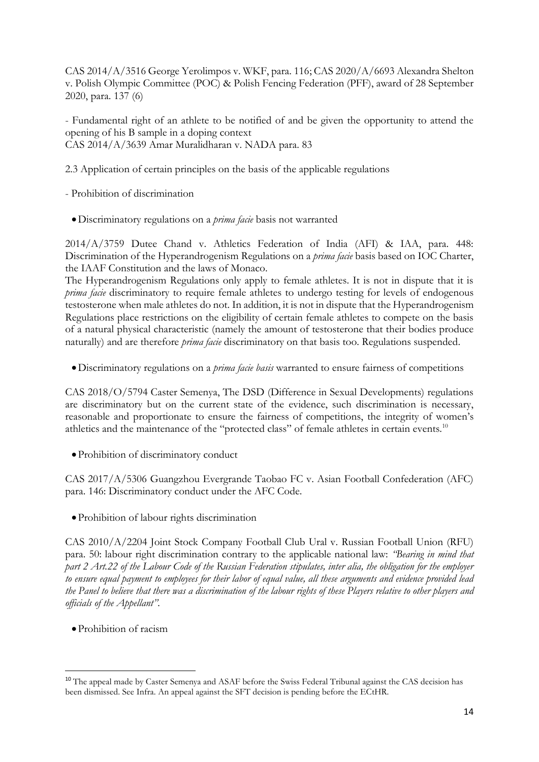CAS 2014/A/3516 George Yerolimpos v. WKF, para. 116; CAS 2020/A/6693 Alexandra Shelton v. Polish Olympic Committee (POC) & Polish Fencing Federation (PFF), award of 28 September 2020, para. 137 (6)

- Fundamental right of an athlete to be notified of and be given the opportunity to attend the opening of his B sample in a doping context CAS 2014/A/3639 Amar Muralidharan v. NADA para. 83

2.3 Application of certain principles on the basis of the applicable regulations

- Prohibition of discrimination

•Discriminatory regulations on a *prima facie* basis not warranted

2014/A/3759 Dutee Chand v. Athletics Federation of India (AFI) & IAA, para. 448: Discrimination of the Hyperandrogenism Regulations on a *prima facie* basis based on IOC Charter, the IAAF Constitution and the laws of Monaco.

The Hyperandrogenism Regulations only apply to female athletes. It is not in dispute that it is *prima facie* discriminatory to require female athletes to undergo testing for levels of endogenous testosterone when male athletes do not. In addition, it is not in dispute that the Hyperandrogenism Regulations place restrictions on the eligibility of certain female athletes to compete on the basis of a natural physical characteristic (namely the amount of testosterone that their bodies produce naturally) and are therefore *prima facie* discriminatory on that basis too. Regulations suspended.

•Discriminatory regulations on a *prima facie basis* warranted to ensure fairness of competitions

CAS 2018/O/5794 Caster Semenya, The DSD (Difference in Sexual Developments) regulations are discriminatory but on the current state of the evidence, such discrimination is necessary, reasonable and proportionate to ensure the fairness of competitions, the integrity of women's athletics and the maintenance of the "protected class" of female athletes in certain events.<sup>10</sup>

•Prohibition of discriminatory conduct

CAS 2017/A/5306 Guangzhou Evergrande Taobao FC v. Asian Football Confederation (AFC) para. 146: Discriminatory conduct under the AFC Code.

•Prohibition of labour rights discrimination

CAS 2010/A/2204 Joint Stock Company Football Club Ural v. Russian Football Union (RFU) para. 50: labour right discrimination contrary to the applicable national law: *"Bearing in mind that part 2 Art.22 of the Labour Code of the Russian Federation stipulates, inter alia, the obligation for the employer to ensure equal payment to employees for their labor of equal value, all these arguments and evidence provided lead the Panel to believe that there was a discrimination of the labour rights of these Players relative to other players and officials of the Appellant".*

•Prohibition of racism

**.** 

<sup>10</sup> The appeal made by Caster Semenya and ASAF before the Swiss Federal Tribunal against the CAS decision has been dismissed. See Infra. An appeal against the SFT decision is pending before the ECtHR.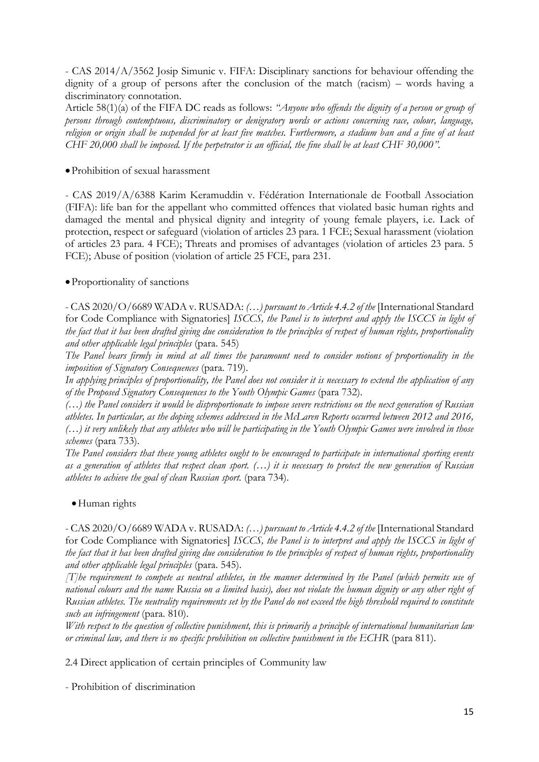- CAS 2014/A/3562 Josip Simunic v. FIFA: Disciplinary sanctions for behaviour offending the dignity of a group of persons after the conclusion of the match (racism) – words having a discriminatory connotation.

Article 58(1)(a) of the FIFA DC reads as follows: *"Anyone who offends the dignity of a person or group of persons through contemptuous, discriminatory or denigratory words or actions concerning race, colour, language, religion or origin shall be suspended for at least five matches. Furthermore, a stadium ban and a fine of at least CHF 20,000 shall be imposed. If the perpetrator is an official, the fine shall be at least CHF 30,000".*

### •Prohibition of sexual harassment

- CAS 2019/A/6388 Karim Keramuddin v. Fédération Internationale de Football Association (FIFA): life ban for the appellant who committed offences that violated basic human rights and damaged the mental and physical dignity and integrity of young female players, i.e. Lack of protection, respect or safeguard (violation of articles 23 para. 1 FCE; Sexual harassment (violation of articles 23 para. 4 FCE); Threats and promises of advantages (violation of articles 23 para. 5 FCE); Abuse of position (violation of article 25 FCE, para 231.

#### •Proportionality of sanctions

- CAS 2020/O/6689 WADA v. RUSADA: *(…) pursuant to Article 4.4.2 of the* [International Standard for Code Compliance with Signatories] *ISCCS, the Panel is to interpret and apply the ISCCS in light of the fact that it has been drafted giving due consideration to the principles of respect of human rights, proportionality and other applicable legal principles* (para. 545)

*The Panel bears firmly in mind at all times the paramount need to consider notions of proportionality in the imposition of Signatory Consequences* (para. 719).

*In applying principles of proportionality, the Panel does not consider it is necessary to extend the application of any of the Proposed Signatory Consequences to the Youth Olympic Games* (para 732).

*(…) the Panel considers it would be disproportionate to impose severe restrictions on the next generation of Russian athletes. In particular, as the doping schemes addressed in the McLaren Reports occurred between 2012 and 2016, (…) it very unlikely that any athletes who will be participating in the Youth Olympic Games were involved in those schemes* (para 733).

*The Panel considers that these young athletes ought to be encouraged to participate in international sporting events as a generation of athletes that respect clean sport. (…) it is necessary to protect the new generation of Russian athletes to achieve the goal of clean Russian sport.* (para 734).

#### •Human rights

- CAS 2020/O/6689 WADA v. RUSADA: *(…) pursuant to Article 4.4.2 of the* [International Standard for Code Compliance with Signatories] *ISCCS, the Panel is to interpret and apply the ISCCS in light of the fact that it has been drafted giving due consideration to the principles of respect of human rights, proportionality and other applicable legal principles* (para. 545).

*[T]he requirement to compete as neutral athletes, in the manner determined by the Panel (which permits use of national colours and the name Russia on a limited basis), does not violate the human dignity or any other right of Russian athletes. The neutrality requirements set by the Panel do not exceed the high threshold required to constitute such an infringement* (para. 810).

*With respect to the question of collective punishment, this is primarily a principle of international humanitarian law or criminal law, and there is no specific prohibition on collective punishment in the ECHR* (para 811).

2.4 Direct application of certain principles of Community law

- Prohibition of discrimination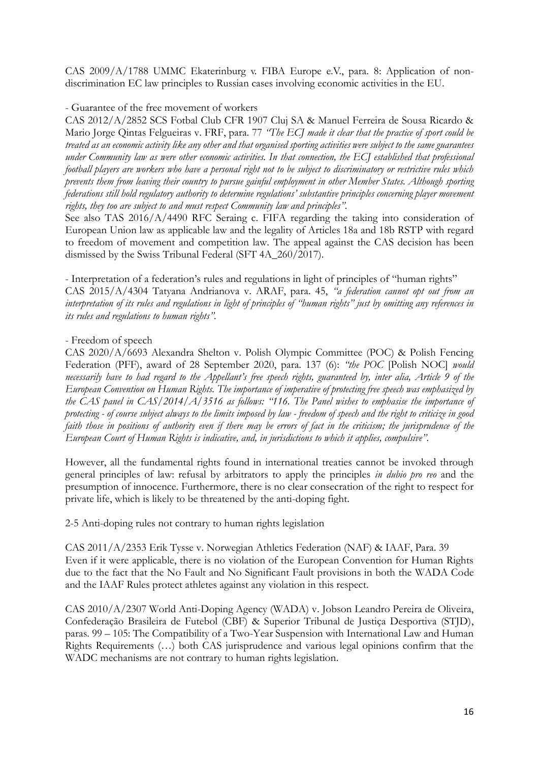CAS 2009/A/1788 UMMC Ekaterinburg v. FIBA Europe e.V., para. 8: Application of nondiscrimination EC law principles to Russian cases involving economic activities in the EU.

# - Guarantee of the free movement of workers

CAS 2012/A/2852 SCS Fotbal Club CFR 1907 Cluj SA & Manuel Ferreira de Sousa Ricardo & Mario Jorge Qintas Felgueiras v. FRF, para. 77 *"The ECJ made it clear that the practice of sport could be treated as an economic activity like any other and that organised sporting activities were subject to the same guarantees under Community law as were other economic activities. In that connection, the ECJ established that professional football players are workers who have a personal right not to be subject to discriminatory or restrictive rules which prevents them from leaving their country to pursue gainful employment in other Member States. Although sporting federations still hold regulatory authority to determine regulations' substantive principles concerning player movement rights, they too are subject to and must respect Community law and principles".*

See also TAS 2016/A/4490 RFC Seraing c. FIFA regarding the taking into consideration of European Union law as applicable law and the legality of Articles 18a and 18b RSTP with regard to freedom of movement and competition law. The appeal against the CAS decision has been dismissed by the Swiss Tribunal Federal (SFT 4A\_260/2017).

- Interpretation of a federation's rules and regulations in light of principles of "human rights" CAS 2015/A/4304 Tatyana Andrianova v. ARAF, para. 45, *"a federation cannot opt out from an interpretation of its rules and regulations in light of principles of "human rights" just by omitting any references in its rules and regulations to human rights".* 

# - Freedom of speech

CAS 2020/A/6693 Alexandra Shelton v. Polish Olympic Committee (POC) & Polish Fencing Federation (PFF), award of 28 September 2020, para. 137 (6): *"the POC* [Polish NOC] *would necessarily have to had regard to the Appellant's free speech rights, guaranteed by, inter alia, Article 9 of the European Convention on Human Rights. The importance of imperative of protecting free speech was emphasized by the CAS panel in CAS/2014/A/3516 as follows: "116. The Panel wishes to emphasise the importance of protecting - of course subject always to the limits imposed by law - freedom of speech and the right to criticize in good faith those in positions of authority even if there may be errors of fact in the criticism; the jurisprudence of the European Court of Human Rights is indicative, and, in jurisdictions to which it applies, compulsive".*

However, all the fundamental rights found in international treaties cannot be invoked through general principles of law: refusal by arbitrators to apply the principles *in dubio pro reo* and the presumption of innocence. Furthermore, there is no clear consecration of the right to respect for private life, which is likely to be threatened by the anti-doping fight.

2-5 Anti-doping rules not contrary to human rights legislation

CAS 2011/A/2353 Erik Tysse v. Norwegian Athletics Federation (NAF) & IAAF, Para. 39 Even if it were applicable, there is no violation of the European Convention for Human Rights due to the fact that the No Fault and No Significant Fault provisions in both the WADA Code and the IAAF Rules protect athletes against any violation in this respect.

CAS 2010/A/2307 World Anti-Doping Agency (WADA) v. Jobson Leandro Pereira de Oliveira, Confederação Brasileira de Futebol (CBF) & Superior Tribunal de Justiça Desportiva (STJD), paras. 99 – 105: The Compatibility of a Two-Year Suspension with International Law and Human Rights Requirements (…) both CAS jurisprudence and various legal opinions confirm that the WADC mechanisms are not contrary to human rights legislation.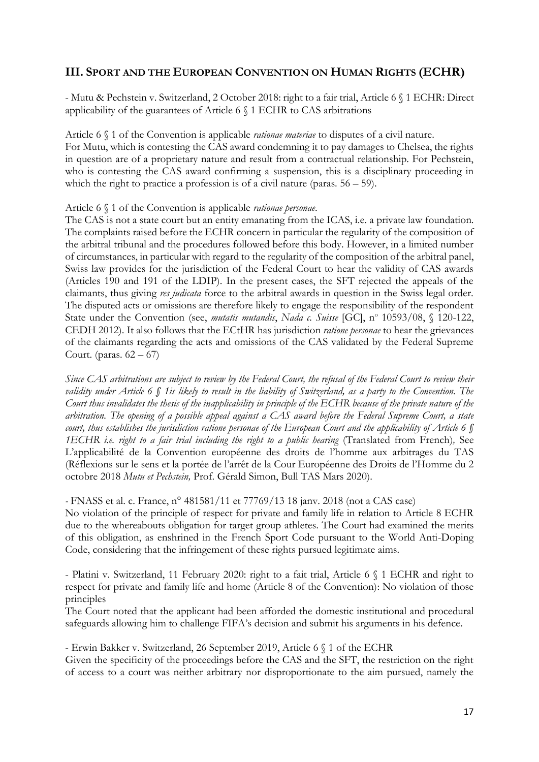# **III. SPORT AND THE EUROPEAN CONVENTION ON HUMAN RIGHTS (ECHR)**

- Mutu & Pechstein v. Switzerland, 2 October 2018: right to a fair trial, Article 6 § 1 ECHR: Direct applicability of the guarantees of Article 6 § 1 ECHR to CAS arbitrations

Article 6 § 1 of the Convention is applicable *rationae materiae* to disputes of a civil nature. For Mutu, which is contesting the CAS award condemning it to pay damages to Chelsea, the rights in question are of a proprietary nature and result from a contractual relationship. For Pechstein, who is contesting the CAS award confirming a suspension, this is a disciplinary proceeding in which the right to practice a profession is of a civil nature (paras.  $56 - 59$ ).

#### Article 6 § 1 of the Convention is applicable *rationae personae*.

The CAS is not a state court but an entity emanating from the ICAS, i.e. a private law foundation. The complaints raised before the ECHR concern in particular the regularity of the composition of the arbitral tribunal and the procedures followed before this body. However, in a limited number of circumstances, in particular with regard to the regularity of the composition of the arbitral panel, Swiss law provides for the jurisdiction of the Federal Court to hear the validity of CAS awards (Articles 190 and 191 of the LDIP). In the present cases, the SFT rejected the appeals of the claimants, thus giving *res judicata* force to the arbitral awards in question in the Swiss legal order. The disputed acts or omissions are therefore likely to engage the responsibility of the respondent State under the Convention (see, *mutatis mutandis*, *Nada c. Suisse* [GC], nº 10593/08, § 120-122, CEDH 2012). It also follows that the ECtHR has jurisdiction *ratione personae* to hear the grievances of the claimants regarding the acts and omissions of the CAS validated by the Federal Supreme Court. (paras.  $62 - 67$ )

*Since CAS arbitrations are subject to review by the Federal Court, the refusal of the Federal Court to review their validity under Article 6 § 1is likely to result in the liability of Switzerland, as a party to the Convention. The Court thus invalidates the thesis of the inapplicability in principle of the ECHR because of the private nature of the arbitration. The opening of a possible appeal against a CAS award before the Federal Supreme Court, a state court, thus establishes the jurisdiction ratione personae of the European Court and the applicability of Article 6 § 1ECHR i.e. right to a fair trial including the right to a public hearing* (Translated from French)*,* See L'applicabilité de la Convention européenne des droits de l'homme aux arbitrages du TAS (Réflexions sur le sens et la portée de l'arrêt de la Cour Européenne des Droits de l'Homme du 2 octobre 2018 *Mutu et Pechstein,* Prof. Gérald Simon, Bull TAS Mars 2020).

*-* FNASS et al. c. France, n° 481581/11 et 77769/13 18 janv. 2018 (not a CAS case)

No violation of the principle of respect for private and family life in relation to Article 8 ECHR due to the whereabouts obligation for target group athletes. The Court had examined the merits of this obligation, as enshrined in the French Sport Code pursuant to the World Anti-Doping Code, considering that the infringement of these rights pursued legitimate aims.

- Platini v. Switzerland, 11 February 2020: right to a fait trial, Article 6 § 1 ECHR and right to respect for private and family life and home (Article 8 of the Convention): No violation of those principles

The Court noted that the applicant had been afforded the domestic institutional and procedural safeguards allowing him to challenge FIFA's decision and submit his arguments in his defence.

- Erwin [Bakker v. Switzerland,](https://hudoc.echr.coe.int/eng#{%22itemid%22:[%22001-196440%22]}) 26 September 2019, Article 6 § 1 of the ECHR

Given the specificity of the proceedings before the CAS and the SFT, the restriction on the right of access to a court was neither arbitrary nor disproportionate to the aim pursued, namely the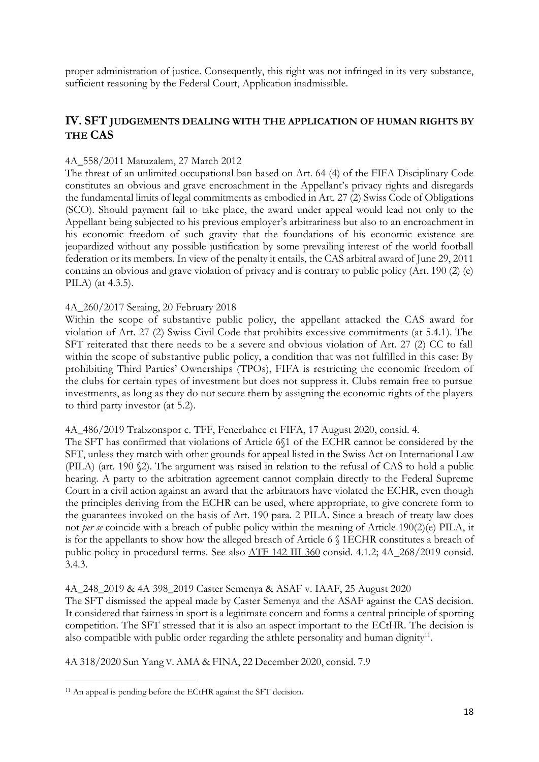proper administration of justice. Consequently, this right was not infringed in its very substance, sufficient reasoning by the Federal Court, Application inadmissible.

# **IV. SFT JUDGEMENTS DEALING WITH THE APPLICATION OF HUMAN RIGHTS BY THE CAS**

## 4A\_558/2011 Matuzalem, 27 March 2012

The threat of an unlimited occupational ban based on Art. 64 (4) of the FIFA Disciplinary Code constitutes an obvious and grave encroachment in the Appellant's privacy rights and disregards the fundamental limits of legal commitments as embodied in Art. 27 (2) Swiss Code of Obligations (SCO). Should payment fail to take place, the award under appeal would lead not only to the Appellant being subjected to his previous employer's arbitrariness but also to an encroachment in his economic freedom of such gravity that the foundations of his economic existence are jeopardized without any possible justification by some prevailing interest of the world football federation or its members. In view of the penalty it entails, the CAS arbitral award of June 29, 2011 contains an obvious and grave violation of privacy and is contrary to public policy (Art. 190 (2) (e) PILA) (at 4.3.5).

# 4A\_260/2017 Seraing, 20 February 2018

Within the scope of substantive public policy, the appellant attacked the CAS award for violation of Art. 27 (2) Swiss Civil Code that prohibits excessive commitments (at 5.4.1). The SFT reiterated that there needs to be a severe and obvious violation of Art. 27 (2) CC to fall within the scope of substantive public policy, a condition that was not fulfilled in this case: By prohibiting Third Parties' Ownerships (TPOs), FIFA is restricting the economic freedom of the clubs for certain types of investment but does not suppress it. Clubs remain free to pursue investments, as long as they do not secure them by assigning the economic rights of the players to third party investor (at 5.2).

4A\_486/2019 Trabzonspor c. TFF, Fenerbahce et FIFA, 17 August 2020, consid. 4.

The SFT has confirmed that violations of Article 6§1 of the ECHR cannot be considered by the SFT, unless they match with other grounds for appeal listed in the Swiss Act on International Law (PILA) (art. 190 §2). The argument was raised in relation to the refusal of CAS to hold a public hearing. A party to the arbitration agreement cannot complain directly to the Federal Supreme Court in a civil action against an award that the arbitrators have violated the ECHR, even though the principles deriving from the ECHR can be used, where appropriate, to give concrete form to the guarantees invoked on the basis of Art. 190 para. 2 PILA. Since a breach of treaty law does not *per se* coincide with a breach of public policy within the meaning of Article 190(2)(e) PILA, it is for the appellants to show how the alleged breach of Article 6 § 1ECHR constitutes a breach of public policy in procedural terms. See also [ATF 142 III 360](https://www.bger.ch/ext/eurospider/live/fr/php/aza/http/index.php?lang=fr&type=highlight_simple_query&page=1&from_date=&to_date=&sort=relevance&insertion_date=&top_subcollection_aza=all&query_words=4A_268%2F2019&rank=0&azaclir=aza&highlight_docid=atf%3A%2F%2F142-III-360%3Afr&number_of_ranks=0#page360) consid. 4.1.2; 4A\_268/2019 consid. 3.4.3.

### 4A\_248\_2019 & 4A 398\_2019 Caster Semenya & ASAF v. IAAF, 25 August 2020

The SFT dismissed the appeal made by Caster Semenya and the ASAF against the CAS decision. It considered that fairness in sport is a legitimate concern and forms a central principle of sporting competition. The SFT stressed that it is also an aspect important to the ECtHR. The decision is also compatible with public order regarding the athlete personality and human dignity<sup>11</sup>.

4A 318/2020 Sun Yang V. AMA & FINA, 22 December 2020, consid. 7.9

**.** 

<sup>&</sup>lt;sup>11</sup> An appeal is pending before the ECtHR against the SFT decision.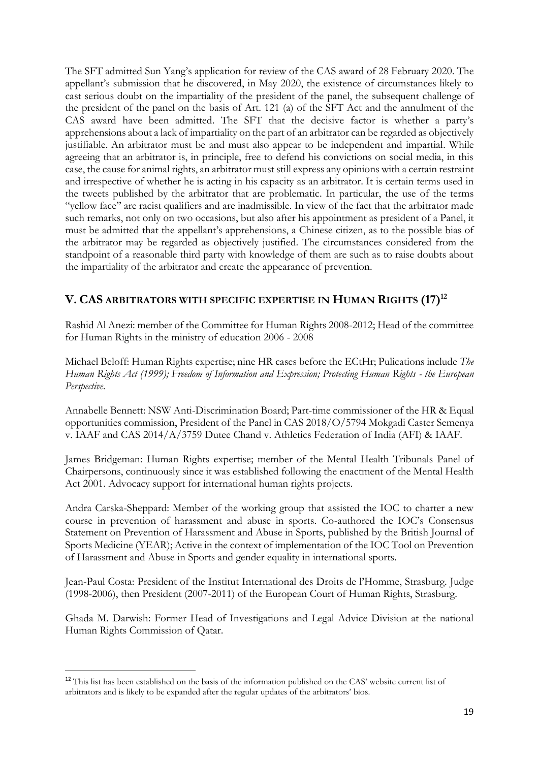The SFT admitted Sun Yang's application for review of the CAS award of 28 February 2020. The appellant's submission that he discovered, in May 2020, the existence of circumstances likely to cast serious doubt on the impartiality of the president of the panel, the subsequent challenge of the president of the panel on the basis of Art. 121 (a) of the SFT Act and the annulment of the CAS award have been admitted. The SFT that the decisive factor is whether a party's apprehensions about a lack of impartiality on the part of an arbitrator can be regarded as objectively justifiable. An arbitrator must be and must also appear to be independent and impartial. While agreeing that an arbitrator is, in principle, free to defend his convictions on social media, in this case, the cause for animal rights, an arbitrator must still express any opinions with a certain restraint and irrespective of whether he is acting in his capacity as an arbitrator. It is certain terms used in the tweets published by the arbitrator that are problematic. In particular, the use of the terms "yellow face" are racist qualifiers and are inadmissible. In view of the fact that the arbitrator made such remarks, not only on two occasions, but also after his appointment as president of a Panel, it must be admitted that the appellant's apprehensions, a Chinese citizen, as to the possible bias of the arbitrator may be regarded as objectively justified. The circumstances considered from the standpoint of a reasonable third party with knowledge of them are such as to raise doubts about the impartiality of the arbitrator and create the appearance of prevention.

# **V. CAS ARBITRATORS WITH SPECIFIC EXPERTISE IN HUMAN RIGHTS (17) 12**

Rashid Al Anezi: member of the Committee for Human Rights 2008-2012; Head of the committee for Human Rights in the ministry of education 2006 - 2008

Michael Beloff: Human Rights expertise; nine HR cases before the ECtHr; Pulications include *The Human Rights Act (1999); Freedom of Information and Expression; Protecting Human Rights - the European Perspective*.

Annabelle Bennett: NSW Anti-Discrimination Board; Part-time commissioner of the HR & Equal opportunities commission, President of the Panel in CAS 2018/O/5794 Mokgadi Caster Semenya v. IAAF and CAS 2014/A/3759 Dutee Chand v. Athletics Federation of India (AFI) & IAAF.

James Bridgeman: Human Rights expertise; member of the Mental Health Tribunals Panel of Chairpersons, continuously since it was established following the enactment of the Mental Health Act 2001. Advocacy support for international human rights projects.

Andra Carska-Sheppard: Member of the working group that assisted the IOC to charter a new course in prevention of harassment and abuse in sports. Co-authored the IOC's Consensus Statement on Prevention of Harassment and Abuse in Sports, published by the British Journal of Sports Medicine (YEAR); Active in the context of implementation of the IOC Tool on Prevention of Harassment and Abuse in Sports and gender equality in international sports.

Jean-Paul Costa: President of the Institut International des Droits de l'Homme, Strasburg. Judge (1998-2006), then President (2007-2011) of the European Court of Human Rights, Strasburg.

Ghada M. Darwish: Former Head of Investigations and Legal Advice Division at the national Human Rights Commission of Qatar.

**.** 

<sup>12</sup> This list has been established on the basis of the information published on the CAS' website current list of arbitrators and is likely to be expanded after the regular updates of the arbitrators' bios.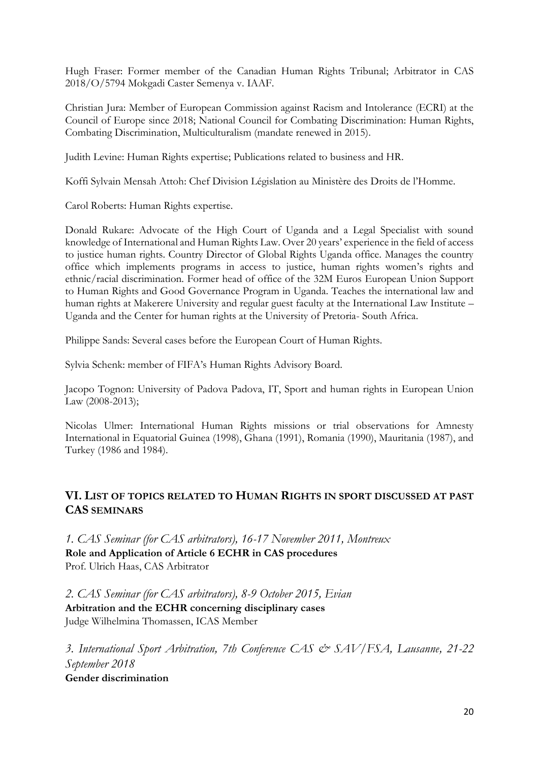Hugh Fraser: Former member of the Canadian Human Rights Tribunal; Arbitrator in CAS 2018/O/5794 Mokgadi Caster Semenya v. IAAF.

Christian Jura: Member of European Commission against Racism and Intolerance (ECRI) at the Council of Europe since 2018; National Council for Combating Discrimination: Human Rights, Combating Discrimination, Multiculturalism (mandate renewed in 2015).

Judith Levine: Human Rights expertise; Publications related to business and HR.

Koffi Sylvain Mensah Attoh: Chef Division Législation au Ministère des Droits de l'Homme.

Carol Roberts: Human Rights expertise.

Donald Rukare: Advocate of the High Court of Uganda and a Legal Specialist with sound knowledge of International and Human Rights Law. Over 20 years' experience in the field of access to justice human rights. Country Director of Global Rights Uganda office. Manages the country office which implements programs in access to justice, human rights women's rights and ethnic/racial discrimination. Former head of office of the 32M Euros European Union Support to Human Rights and Good Governance Program in Uganda. Teaches the international law and human rights at Makerere University and regular guest faculty at the International Law Institute – Uganda and the Center for human rights at the University of Pretoria- South Africa.

Philippe Sands: Several cases before the European Court of Human Rights.

Sylvia Schenk: member of FIFA's Human Rights Advisory Board.

Jacopo Tognon: University of Padova Padova, IT, Sport and human rights in European Union Law (2008-2013);

Nicolas Ulmer: International Human Rights missions or trial observations for Amnesty International in Equatorial Guinea (1998), Ghana (1991), Romania (1990), Mauritania (1987), and Turkey (1986 and 1984).

# **VI. LIST OF TOPICS RELATED TO HUMAN RIGHTS IN SPORT DISCUSSED AT PAST CAS SEMINARS**

*1. CAS Seminar (for CAS arbitrators), 16-17 November 2011, Montreux* **Role and Application of Article 6 ECHR in CAS procedures** Prof. Ulrich Haas, CAS Arbitrator

*2. CAS Seminar (for CAS arbitrators), 8-9 October 2015, Evian* **Arbitration and the ECHR concerning disciplinary cases** Judge Wilhelmina Thomassen, ICAS Member

*3. International Sport Arbitration, 7th Conference CAS & SAV/FSA, Lausanne, 21-22 September 2018* **Gender discrimination**